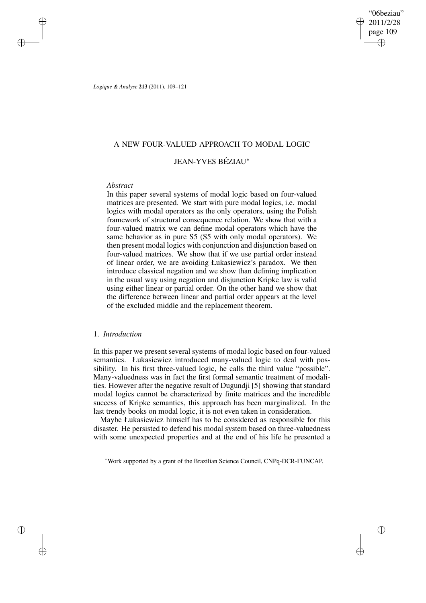"06beziau" 2011/2/28 page 109 ✐ ✐

✐

✐

*Logique & Analyse* **213** (2011), 109–121

### A NEW FOUR-VALUED APPROACH TO MODAL LOGIC

## JEAN-YVES BÉZIAU ∗

### *Abstract*

✐

✐

✐

✐

In this paper several systems of modal logic based on four-valued matrices are presented. We start with pure modal logics, i.e. modal logics with modal operators as the only operators, using the Polish framework of structural consequence relation. We show that with a four-valued matrix we can define modal operators which have the same behavior as in pure S5 (S5 with only modal operators). We then present modal logics with conjunction and disjunction based on four-valued matrices. We show that if we use partial order instead of linear order, we are avoiding Łukasiewicz's paradox. We then introduce classical negation and we show than defining implication in the usual way using negation and disjunction Kripke law is valid using either linear or partial order. On the other hand we show that the difference between linear and partial order appears at the level of the excluded middle and the replacement theorem.

### 1. *Introduction*

In this paper we present several systems of modal logic based on four-valued semantics. Łukasiewicz introduced many-valued logic to deal with possibility. In his first three-valued logic, he calls the third value "possible". Many-valuedness was in fact the first formal semantic treatment of modalities. However after the negative result of Dugundji [5] showing that standard modal logics cannot be characterized by finite matrices and the incredible success of Kripke semantics, this approach has been marginalized. In the last trendy books on modal logic, it is not even taken in consideration.

Maybe Łukasiewicz himself has to be considered as responsible for this disaster. He persisted to defend his modal system based on three-valuedness with some unexpected properties and at the end of his life he presented a

<sup>∗</sup>Work supported by a grant of the Brazilian Science Council, CNPq-DCR-FUNCAP.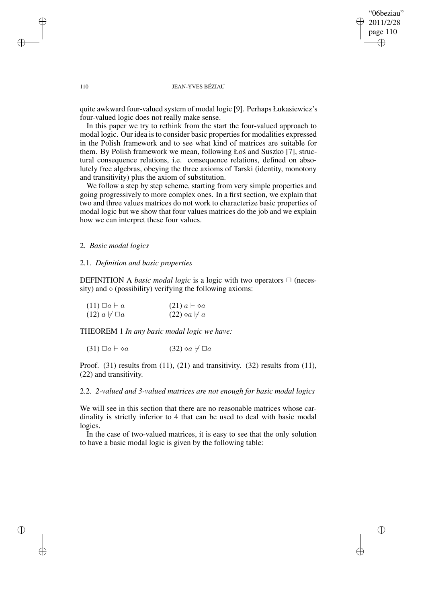"06beziau" 2011/2/28 page 110 ✐ ✐

✐

✐

#### 110 JEAN-YVES BÉZIAU

quite awkward four-valued system of modal logic [9]. Perhaps Łukasiewicz's four-valued logic does not really make sense.

In this paper we try to rethink from the start the four-valued approach to modal logic. Our idea is to consider basic properties for modalities expressed in the Polish framework and to see what kind of matrices are suitable for them. By Polish framework we mean, following Łoś and Suszko [7], structural consequence relations, i.e. consequence relations, defined on absolutely free algebras, obeying the three axioms of Tarski (identity, monotony and transitivity) plus the axiom of substitution.

We follow a step by step scheme, starting from very simple properties and going progressively to more complex ones. In a first section, we explain that two and three values matrices do not work to characterize basic properties of modal logic but we show that four values matrices do the job and we explain how we can interpret these four values.

### 2. *Basic modal logics*

#### 2.1. *Definition and basic properties*

DEFINITION A *basic modal logic* is a logic with two operators  $\Box$  (necessity) and  $\Diamond$  (possibility) verifying the following axioms:

| $(11) \Box a \vdash a$       | $(21)$ $a \vdash \diamond a$  |
|------------------------------|-------------------------------|
| $(12)$ $a \not\vdash \Box a$ | $(22) \otimes a \not\vdash a$ |

THEOREM 1 *In any basic modal logic we have:*

(31)  $\Box a \vdash \Diamond a$  (32)  $\Diamond a \not\vdash \Box a$ 

Proof. (31) results from (11), (21) and transitivity. (32) results from (11), (22) and transitivity.

2.2. *2-valued and 3-valued matrices are not enough for basic modal logics*

We will see in this section that there are no reasonable matrices whose cardinality is strictly inferior to 4 that can be used to deal with basic modal logics.

In the case of two-valued matrices, it is easy to see that the only solution to have a basic modal logic is given by the following table:

✐

✐

✐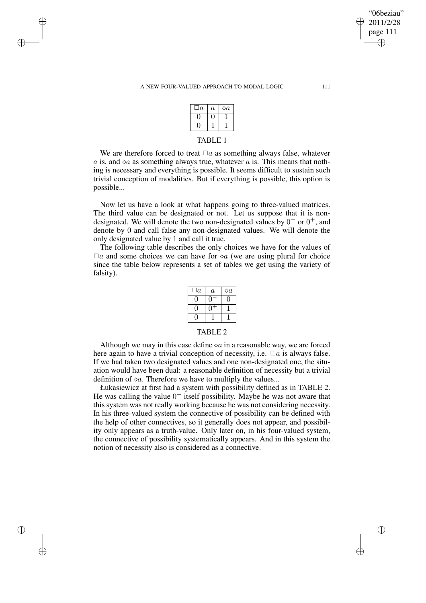#### A NEW FOUR-VALUED APPROACH TO MODAL LOGIC 111

✐

✐

✐

✐

| $\overline{a}$ | $\boldsymbol{a}$ | $\diamond a$ |  |
|----------------|------------------|--------------|--|
|                |                  |              |  |
|                |                  |              |  |
| <b>TABL</b>    |                  |              |  |

We are therefore forced to treat  $\Box a$  as something always false, whatever a is, and  $\infty$  as something always true, whatever a is. This means that nothing is necessary and everything is possible. It seems difficult to sustain such trivial conception of modalities. But if everything is possible, this option is possible...

Now let us have a look at what happens going to three-valued matrices. The third value can be designated or not. Let us suppose that it is nondesignated. We will denote the two non-designated values by  $0^-$  or  $0^+$ , and denote by 0 and call false any non-designated values. We will denote the only designated value by 1 and call it true.

The following table describes the only choices we have for the values of  $\Box a$  and some choices we can have for  $\Diamond a$  (we are using plural for choice since the table below represents a set of tables we get using the variety of falsity).

| $\overline{a}$ | $\it a$ | $\diamond a$ |
|----------------|---------|--------------|
|                |         |              |
|                |         |              |
|                |         |              |

#### TABLE 2

Although we may in this case define  $\Diamond a$  in a reasonable way, we are forced here again to have a trivial conception of necessity, i.e.  $\Box a$  is always false. If we had taken two designated values and one non-designated one, the situation would have been dual: a reasonable definition of necessity but a trivial definition of  $\Diamond a$ . Therefore we have to multiply the values...

Łukasiewicz at first had a system with possibility defined as in TABLE 2. He was calling the value  $0^+$  itself possibility. Maybe he was not aware that this system was not really working because he was not considering necessity. In his three-valued system the connective of possibility can be defined with the help of other connectives, so it generally does not appear, and possibility only appears as a truth-value. Only later on, in his four-valued system, the connective of possibility systematically appears. And in this system the notion of necessity also is considered as a connective.

"06beziau" 2011/2/28 page 111

✐

✐

✐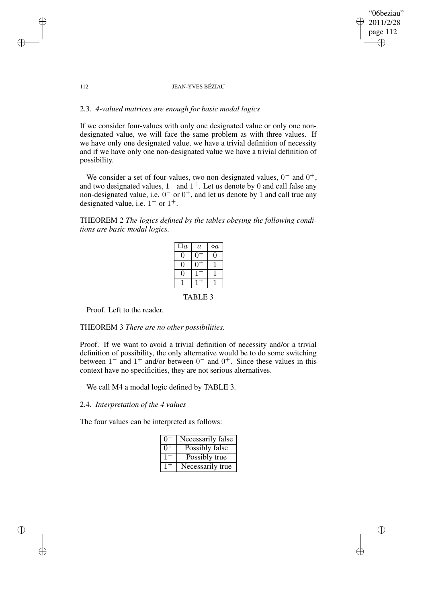✐

#### 112 JEAN-YVES BÉZIAU

### 2.3. *4-valued matrices are enough for basic modal logics*

If we consider four-values with only one designated value or only one nondesignated value, we will face the same problem as with three values. If we have only one designated value, we have a trivial definition of necessity and if we have only one non-designated value we have a trivial definition of possibility.

We consider a set of four-values, two non-designated values,  $0^-$  and  $0^+$ , and two designated values,  $1^-$  and  $1^+$ . Let us denote by 0 and call false any non-designated value, i.e.  $0^-$  or  $0^+$ , and let us denote by 1 and call true any designated value, i.e.  $1^-$  or  $1^+$ .

### THEOREM 2 *The logics defined by the tables obeying the following conditions are basic modal logics.*

| $\Box a$       | $\overline{a}$ | $\Diamond a$ |  |
|----------------|----------------|--------------|--|
| 0              |                | U            |  |
| ( )            |                |              |  |
| 0              |                |              |  |
|                |                |              |  |
| <b>TABLE 3</b> |                |              |  |

Proof. Left to the reader.

✐

✐

✐

✐

#### THEOREM 3 *There are no other possibilities.*

Proof. If we want to avoid a trivial definition of necessity and/or a trivial definition of possibility, the only alternative would be to do some switching between  $1^-$  and  $1^+$  and/or between  $0^-$  and  $0^+$ . Since these values in this context have no specificities, they are not serious alternatives.

We call M4 a modal logic defined by TABLE 3.

### 2.4. *Interpretation of the 4 values*

The four values can be interpreted as follows:

| $\mathbf{I}$ | Necessarily false |
|--------------|-------------------|
| $\cap$       | Possibly false    |
|              | Possibly true     |
|              | Necessarily true  |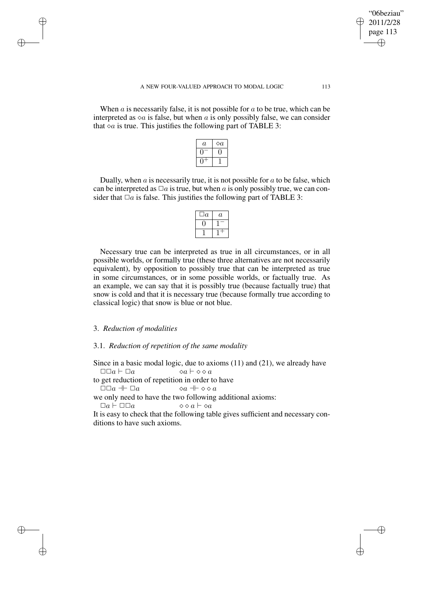When  $\alpha$  is necessarily false, it is not possible for  $\alpha$  to be true, which can be interpreted as  $\Diamond a$  is false, but when a is only possibly false, we can consider that  $\circ a$  is true. This justifies the following part of TABLE 3:

| а | a |
|---|---|
|   |   |
|   |   |

Dually, when  $\alpha$  is necessarily true, it is not possible for  $\alpha$  to be false, which can be interpreted as  $\Box a$  is true, but when a is only possibly true, we can consider that  $\Box a$  is false. This justifies the following part of TABLE 3:

| $\boldsymbol{a}$ | $\it a$ |
|------------------|---------|
|                  |         |
|                  |         |

Necessary true can be interpreted as true in all circumstances, or in all possible worlds, or formally true (these three alternatives are not necessarily equivalent), by opposition to possibly true that can be interpreted as true in some circumstances, or in some possible worlds, or factually true. As an example, we can say that it is possibly true (because factually true) that snow is cold and that it is necessary true (because formally true according to classical logic) that snow is blue or not blue.

### 3. *Reduction of modalities*

✐

✐

✐

✐

#### 3.1. *Reduction of repetition of the same modality*

Since in a basic modal logic, due to axioms (11) and (21), we already have  $\Box \Box a \vdash \Box a \qquad \qquad \Diamond a \vdash \Diamond \Diamond a$ 

to get reduction of repetition in order to have

 $\Box\Box a \ \Vdash \Box a \qquad \qquad \Diamond a \ \Vdash \Diamond \Diamond a$ 

we only need to have the two following additional axioms:

 $\Box a \vdash \Box \Box a \qquad \qquad \Diamond \Diamond a \vdash \Diamond a$ 

It is easy to check that the following table gives sufficient and necessary conditions to have such axioms.

"06beziau" 2011/2/28 page 113

✐

✐

✐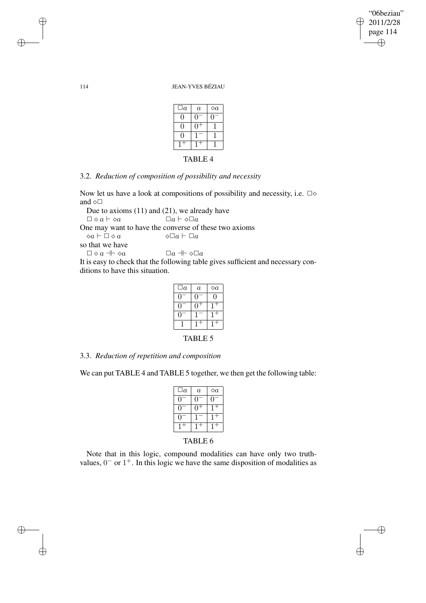"06beziau" 2011/2/28 page 114 ✐ ✐

 $\bigoplus$ 

✐

#### 114 JEAN-YVES BÉZIAU

| $\Box a$       | $\overline{a}$ | $\Diamond a$ |  |  |
|----------------|----------------|--------------|--|--|
|                |                |              |  |  |
| 1              |                |              |  |  |
| ( )            |                |              |  |  |
|                |                |              |  |  |
| <b>TABLE 4</b> |                |              |  |  |

# 3.2. *Reduction of composition of possibility and necessity*

Now let us have a look at compositions of possibility and necessity, i.e.  $\Box \diamond$ and  $\diamond \Box$ 

Due to axioms (11) and (21), we already have  $\Box \diamond a \vdash \diamond a$   $\Box a \vdash \diamond \Box a$ One may want to have the converse of these two axioms  $\diamond a \vdash \Box \diamond a \qquad \qquad \diamond \Box a \vdash \Box a$ so that we have  $\Box \diamond a \dashv \vdash \diamond a$   $\Box a \dashv \diamond \Box a$ It is easy to check that the following table gives sufficient and necessary con-

ditions to have this situation.

| $\Box a$       | $\it a$ | $\Diamond a$ |  |
|----------------|---------|--------------|--|
|                |         | 0            |  |
|                |         |              |  |
|                |         |              |  |
|                |         |              |  |
| <b>TABLE 5</b> |         |              |  |

3.3. *Reduction of repetition and composition*

We can put TABLE 4 and TABLE 5 together, we then get the following table:

| $\Box a$       | $\overline{a}$ | $\diamond a$ |  |
|----------------|----------------|--------------|--|
| 0              |                |              |  |
| H              |                |              |  |
|                |                | $1+$         |  |
| 1-             | $1+$           |              |  |
| <b>TABLE 6</b> |                |              |  |

Note that in this logic, compound modalities can have only two truthvalues,  $0^-$  or  $1^+$ . In this logic we have the same disposition of modalities as

✐

✐

✐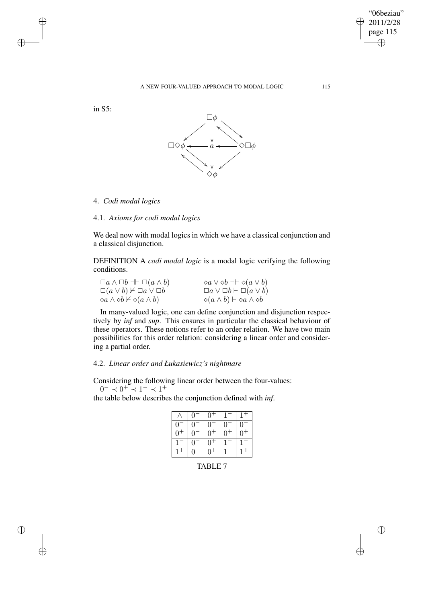$\bigoplus$ 

✐

#### A NEW FOUR-VALUED APPROACH TO MODAL LOGIC 115

in S5:

✐

✐

✐

✐



4. *Codi modal logics*

4.1. *Axioms for codi modal logics*

We deal now with modal logics in which we have a classical conjunction and a classical disjunction.

DEFINITION A *codi modal logic* is a modal logic verifying the following conditions.

| $\Box a \wedge \Box b \dashv \vdash \Box (a \wedge b)$     | $\Diamond a \vee \Diamond b \dashv \vdash \Diamond (a \vee b)$ |
|------------------------------------------------------------|----------------------------------------------------------------|
| $\Box(a \vee b) \nvdash \Box a \vee \Box b$                | $\Box a \vee \Box b \vdash \Box (a \vee b)$                    |
| $\Diamond a \land \Diamond b \nvdash \Diamond (a \land b)$ | $\Diamond(a \wedge b) \vdash \Diamond a \wedge \Diamond b$     |

In many-valued logic, one can define conjunction and disjunction respectively by *inf* and *sup*. This ensures in particular the classical behaviour of these operators. These notions refer to an order relation. We have two main possibilities for this order relation: considering a linear order and considering a partial order.

### 4.2. *Linear order and Łukasiewicz's nightmare*

Considering the following linear order between the four-values:  $0^- \prec 0^+ \prec 1^- \prec 1^+$ 

the table below describes the conjunction defined with *inf*.

|                       | 0        | በ+                  |         |                       |
|-----------------------|----------|---------------------|---------|-----------------------|
| $\overline{0}$        | 0        | $0^{-}$             | $0^{-}$ | $\Omega$ <sup>-</sup> |
| $\Omega$ <sup>-</sup> | $\Omega$ | $0+$                | $0^{+}$ | 0+                    |
|                       | O        | $\cap$ <sup>+</sup> |         |                       |
|                       | $\theta$ | $0+$                |         |                       |

TABLE 7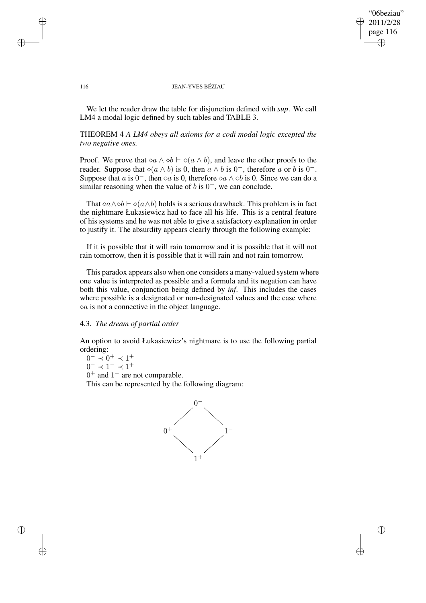"06beziau" 2011/2/28 page 116 ✐ ✐

✐

✐

#### 116 JEAN-YVES BÉZIAU

We let the reader draw the table for disjunction defined with *sup*. We call LM4 a modal logic defined by such tables and TABLE 3.

### THEOREM 4 *A LM4 obeys all axioms for a codi modal logic excepted the two negative ones.*

Proof. We prove that  $\triangle a \wedge \triangle b \vdash \triangle (a \wedge b)$ , and leave the other proofs to the reader. Suppose that  $\diamond (a \wedge b)$  is 0, then  $a \wedge b$  is 0<sup>-</sup>, therefore a or b is 0<sup>-</sup>. Suppose that a is  $0^-$ , then  $\infty a$  is 0, therefore  $\infty a \wedge \infty b$  is 0. Since we can do a similar reasoning when the value of  $b$  is  $0^-$ , we can conclude.

That  $\Diamond a \land \Diamond b \vdash \Diamond (a \land b)$  holds is a serious drawback. This problem is in fact the nightmare Łukasiewicz had to face all his life. This is a central feature of his systems and he was not able to give a satisfactory explanation in order to justify it. The absurdity appears clearly through the following example:

If it is possible that it will rain tomorrow and it is possible that it will not rain tomorrow, then it is possible that it will rain and not rain tomorrow.

This paradox appears also when one considers a many-valued system where one value is interpreted as possible and a formula and its negation can have both this value, conjunction being defined by *inf*. This includes the cases where possible is a designated or non-designated values and the case where  $\Diamond a$  is not a connective in the object language.

### 4.3. *The dream of partial order*

An option to avoid Łukasiewicz's nightmare is to use the following partial ordering:

 $0^- \prec 0^+ \prec 1^+$ 

 $0^- \prec 1^- \prec 1^+$ 

 $0^+$  and  $1^-$  are not comparable.

This can be represented by the following diagram:



✐

✐

✐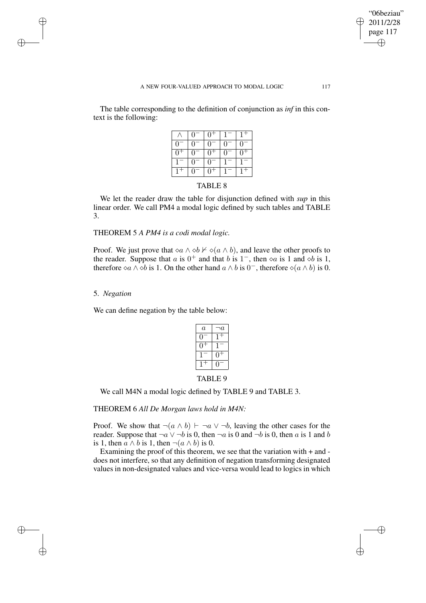#### A NEW FOUR-VALUED APPROACH TO MODAL LOGIC 117

The table corresponding to the definition of conjunction as *inf* in this context is the following:

|                   | ∩                 |    |              |  |
|-------------------|-------------------|----|--------------|--|
| $\mathbf{\Omega}$ |                   | 0  | $\mathbf{0}$ |  |
| $\Omega$          |                   |    |              |  |
|                   | $\mathbf{\Omega}$ | 01 |              |  |
|                   |                   |    |              |  |

### TABLE 8

We let the reader draw the table for disjunction defined with *sup* in this linear order. We call PM4 a modal logic defined by such tables and TABLE 3.

### THEOREM 5 *A PM4 is a codi modal logic.*

Proof. We just prove that  $\Diamond a \land \Diamond b \nvdash \Diamond (a \land b)$ , and leave the other proofs to the reader. Suppose that a is  $0^+$  and that b is  $1^-$ , then  $\infty$  a is 1 and  $\infty$  is 1, therefore  $\Diamond a \land \Diamond b$  is 1. On the other hand  $a \land b$  is  $0^-$ , therefore  $\Diamond (a \land b)$  is 0.

### 5. *Negation*

✐

✐

✐

✐

We can define negation by the table below:

| $\it a$           | $\it a$ |  |
|-------------------|---------|--|
|                   |         |  |
|                   |         |  |
|                   |         |  |
|                   |         |  |
| <b>TABLE</b><br>Y |         |  |

We call M4N a modal logic defined by TABLE 9 and TABLE 3.

### THEOREM 6 *All De Morgan laws hold in M4N:*

Proof. We show that  $\neg(a \land b) \vdash \neg a \lor \neg b$ , leaving the other cases for the reader. Suppose that  $\neg a \lor \neg b$  is 0, then  $\neg a$  is 0 and  $\neg b$  is 0, then a is 1 and b is 1, then  $a \wedge b$  is 1, then  $\neg(a \wedge b)$  is 0.

Examining the proof of this theorem, we see that the variation with + and does not interfere, so that any definition of negation transforming designated values in non-designated values and vice-versa would lead to logics in which

"06beziau" 2011/2/28 page 117

✐

✐

✐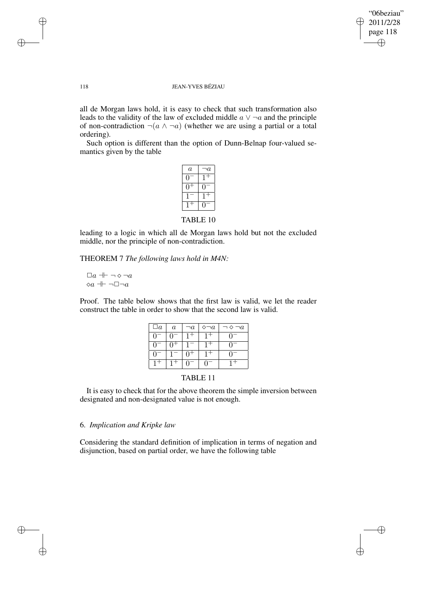✐

#### 118 JEAN-YVES BÉZIAU

all de Morgan laws hold, it is easy to check that such transformation also leads to the validity of the law of excluded middle  $a \vee \neg a$  and the principle of non-contradiction  $\neg(a \land \neg a)$  (whether we are using a partial or a total ordering).

Such option is different than the option of Dunn-Belnap four-valued semantics given by the table

| ۱a |
|----|
| ╄  |
|    |
|    |
|    |
|    |

TABLE 10

leading to a logic in which all de Morgan laws hold but not the excluded middle, nor the principle of non-contradiction.

THEOREM 7 *The following laws hold in M4N:*

 $\Box a \dashv \neg \diamond \neg a$  $\Diamond a \dashv \neg \Box \neg a$ 

Proof. The table below shows that the first law is valid, we let the reader construct the table in order to show that the second law is valid.

| $\Box a$       | $\boldsymbol{a}$ | $\neg a$ | $\neg a$ | $\neg a$ |
|----------------|------------------|----------|----------|----------|
| $\blacksquare$ |                  |          |          |          |
| $\blacksquare$ |                  |          |          |          |
| $\mathbf{u}$   |                  |          |          |          |
|                |                  |          |          |          |

### TABLE 11

It is easy to check that for the above theorem the simple inversion between designated and non-designated value is not enough.

### 6. *Implication and Kripke law*

Considering the standard definition of implication in terms of negation and disjunction, based on partial order, we have the following table

✐

✐

✐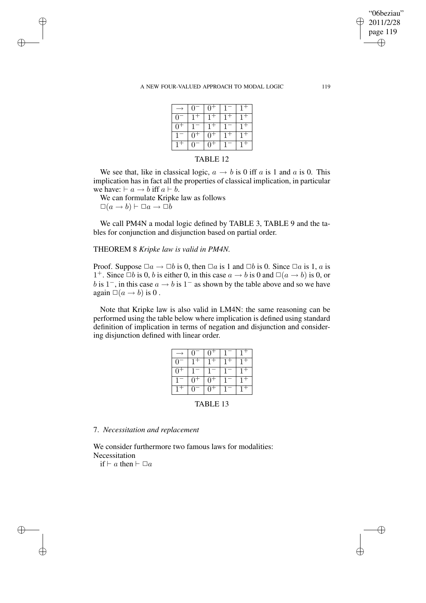#### A NEW FOUR-VALUED APPROACH TO MODAL LOGIC 119

|          | $\overline{0}$ | $0^+$       |  |
|----------|----------------|-------------|--|
| $\Omega$ |                |             |  |
| $\cap$   |                |             |  |
|          | $0^+$          | $^{\cap +}$ |  |
|          | $\cup$         |             |  |

#### TABLE 12

We see that, like in classical logic,  $a \rightarrow b$  is 0 iff a is 1 and a is 0. This implication has in fact all the properties of classical implication, in particular we have:  $\vdash a \rightarrow b$  iff  $a \vdash b$ .

We can formulate Kripke law as follows  $\Box(a \to b) \vdash \Box a \to \Box b$ 

✐

✐

✐

✐

We call PM4N a modal logic defined by TABLE 3, TABLE 9 and the tables for conjunction and disjunction based on partial order.

### THEOREM 8 *Kripke law is valid in PM4N.*

Proof. Suppose  $\Box a \to \Box b$  is 0, then  $\Box a$  is 1 and  $\Box b$  is 0. Since  $\Box a$  is 1, a is 1<sup>+</sup>. Since  $\Box b$  is 0, b is either 0, in this case  $a \to b$  is 0 and  $\Box(a \to b)$  is 0, or b is 1<sup>-</sup>, in this case  $a \rightarrow b$  is 1<sup>-</sup> as shown by the table above and so we have again  $\Box(a \rightarrow b)$  is 0.

Note that Kripke law is also valid in LM4N: the same reasoning can be performed using the table below where implication is defined using standard definition of implication in terms of negation and disjunction and considering disjunction defined with linear order.

|   | $\Omega$ |  |  |
|---|----------|--|--|
| ∩ |          |  |  |
| ∩ |          |  |  |
|   | $\Omega$ |  |  |
|   | 0        |  |  |

TABLE 13

7. *Necessitation and replacement*

We consider furthermore two famous laws for modalities: Necessitation

if  $\vdash a$  then  $\vdash \Box a$ 

"06beziau" 2011/2/28 page 119

✐

✐

✐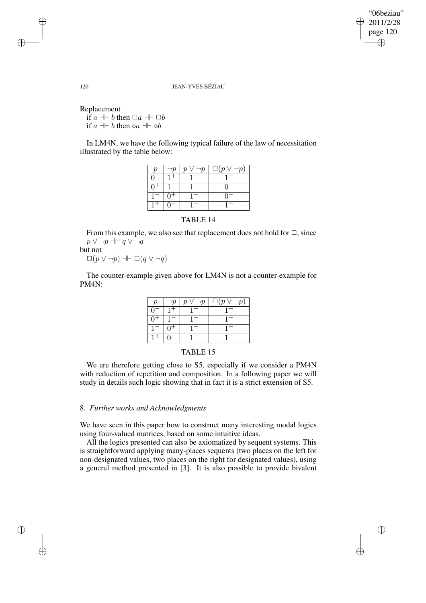"06beziau" 2011/2/28 page 120 ✐ ✐

✐

120 JEAN-YVES BÉZIAU

Replacement

if  $a \perp b$  then  $\Box a \perp \Box b$ if  $a + b$  then  $\diamond a + \diamond b$ 

In LM4N, we have the following typical failure of the law of necessitation illustrated by the table below:

|  | $p \vee \neg p \mid \Box(p \vee \neg p)$ |
|--|------------------------------------------|
|  |                                          |
|  | $\mathbf{U}$                             |
|  | 07                                       |
|  |                                          |

From this example, we also see that replacement does not hold for  $\Box$ , since  $p \vee \neg p \dashv\vdash q \vee \neg q$ but not

 $\Box(p \vee \neg p) \dashv \vdash \Box(q \vee \neg q)$ 

The counter-example given above for LM4N is not a counter-example for PM4N:

|    | $\neg p$ | $p \vee \neg p$ | $\Box(p \vee \neg p)$ |
|----|----------|-----------------|-----------------------|
|    | $1+$     | $1+$            |                       |
| n+ |          | $1+$            | $1 +$                 |
|    | $\pm 0+$ |                 | $1+$                  |
|    |          |                 |                       |



We are therefore getting close to S5, especially if we consider a PM4N with reduction of repetition and composition. In a following paper we will study in details such logic showing that in fact it is a strict extension of S5.

### 8. *Further works and Acknowledgments*

We have seen in this paper how to construct many interesting modal logics using four-valued matrices, based on some intuitive ideas.

All the logics presented can also be axiomatized by sequent systems. This is straightforward applying many-places sequents (two places on the left for non-designated values, two places on the right for designated values), using a general method presented in [3]. It is also possible to provide bivalent

✐

✐

✐